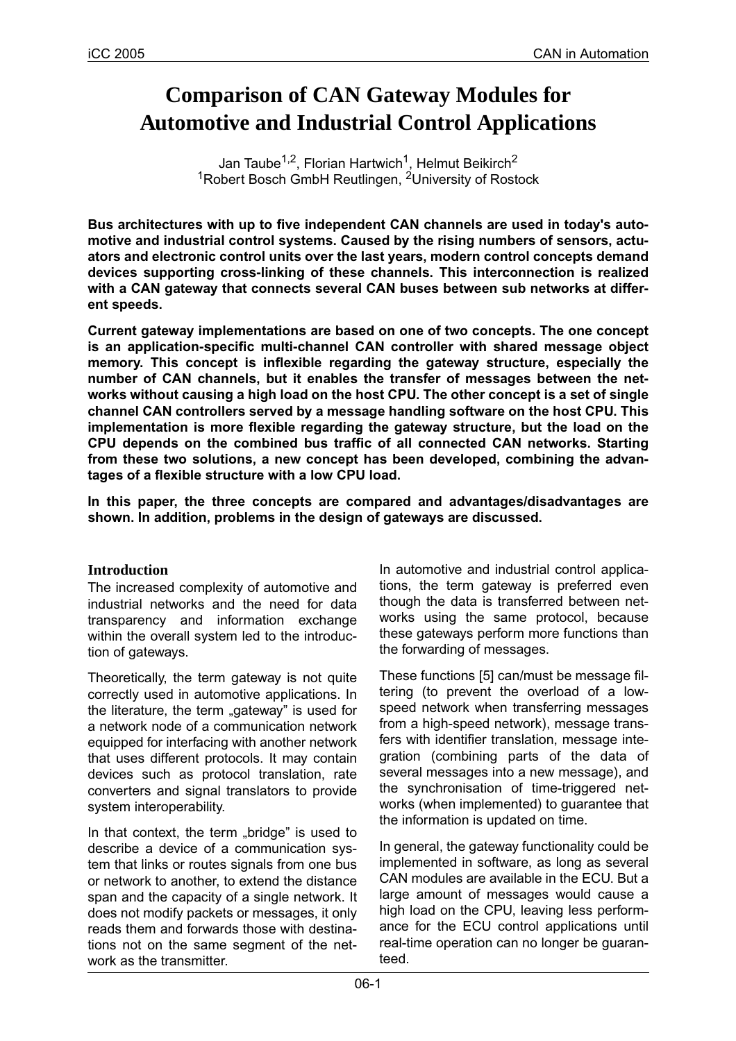# **Comparison of CAN Gateway Modules for Automotive and Industrial Control Applications**

Jan Taube<sup>1,2</sup>, Florian Hartwich<sup>1</sup>, Helmut Beikirch<sup>2</sup> 1Robert Bosch GmbH Reutlingen, 2University of Rostock

**Bus architectures with up to five independent CAN channels are used in today's automotive and industrial control systems. Caused by the rising numbers of sensors, actuators and electronic control units over the last years, modern control concepts demand devices supporting cross-linking of these channels. This interconnection is realized with a CAN gateway that connects several CAN buses between sub networks at different speeds.**

**Current gateway implementations are based on one of two concepts. The one concept is an application-specific multi-channel CAN controller with shared message object memory. This concept is inflexible regarding the gateway structure, especially the number of CAN channels, but it enables the transfer of messages between the networks without causing a high load on the host CPU. The other concept is a set of single channel CAN controllers served by a message handling software on the host CPU. This implementation is more flexible regarding the gateway structure, but the load on the CPU depends on the combined bus traffic of all connected CAN networks. Starting from these two solutions, a new concept has been developed, combining the advantages of a flexible structure with a low CPU load.**

**In this paper, the three concepts are compared and advantages/disadvantages are shown. In addition, problems in the design of gateways are discussed.**

#### **Introduction**

The increased complexity of automotive and industrial networks and the need for data transparency and information exchange within the overall system led to the introduction of gateways.

Theoretically, the term gateway is not quite correctly used in automotive applications. In the literature, the term "gateway" is used for a network node of a communication network equipped for interfacing with another network that uses different protocols. It may contain devices such as protocol translation, rate converters and signal translators to provide system interoperability.

In that context, the term "bridge" is used to describe a device of a communication system that links or routes signals from one bus or network to another, to extend the distance span and the capacity of a single network. It does not modify packets or messages, it only reads them and forwards those with destinations not on the same segment of the network as the transmitter.

In automotive and industrial control applications, the term gateway is preferred even though the data is transferred between networks using the same protocol, because these gateways perform more functions than the forwarding of messages.

These functions [5] can/must be message filtering (to prevent the overload of a lowspeed network when transferring messages from a high-speed network), message transfers with identifier translation, message integration (combining parts of the data of several messages into a new message), and the synchronisation of time-triggered networks (when implemented) to guarantee that the information is updated on time.

In general, the gateway functionality could be implemented in software, as long as several CAN modules are available in the ECU. But a large amount of messages would cause a high load on the CPU, leaving less performance for the ECU control applications until real-time operation can no longer be guaranteed.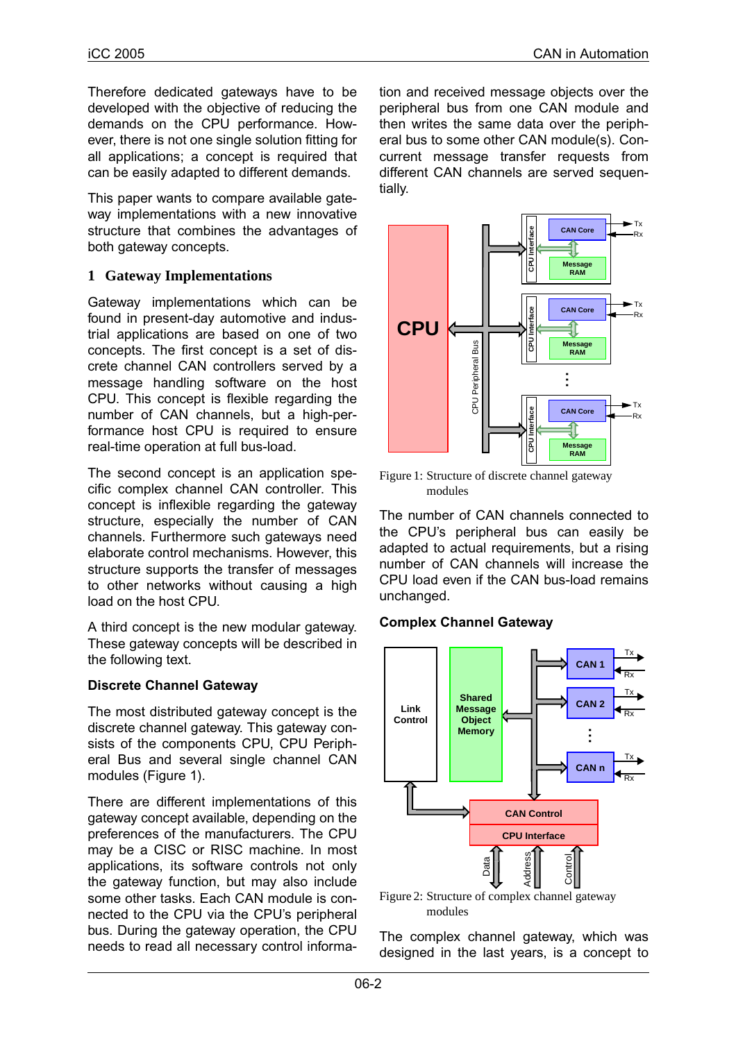Therefore dedicated gateways have to be developed with the objective of reducing the demands on the CPU performance. However, there is not one single solution fitting for all applications; a concept is required that can be easily adapted to different demands.

This paper wants to compare available gateway implementations with a new innovative structure that combines the advantages of both gateway concepts.

### **1 Gateway Implementations**

Gateway implementations which can be found in present-day automotive and industrial applications are based on one of two concepts. The first concept is a set of discrete channel CAN controllers served by a message handling software on the host CPU. This concept is flexible regarding the number of CAN channels, but a high-performance host CPU is required to ensure real-time operation at full bus-load.

The second concept is an application specific complex channel CAN controller. This concept is inflexible regarding the gateway structure, especially the number of CAN channels. Furthermore such gateways need elaborate control mechanisms. However, this structure supports the transfer of messages to other networks without causing a high load on the host CPU.

A third concept is the new modular gateway. These gateway concepts will be described in the following text.

#### **Discrete Channel Gateway**

The most distributed gateway concept is the discrete channel gateway. This gateway consists of the components CPU, CPU Peripheral Bus and several single channel CAN modules [\(Figure 1\)](#page-1-0).

There are different implementations of this gateway concept available, depending on the preferences of the manufacturers. The CPU may be a CISC or RISC machine. In most applications, its software controls not only the gateway function, but may also include some other tasks. Each CAN module is connected to the CPU via the CPU's peripheral bus. During the gateway operation, the CPU needs to read all necessary control information and received message objects over the peripheral bus from one CAN module and then writes the same data over the peripheral bus to some other CAN module(s). Concurrent message transfer requests from different CAN channels are served sequentially.



<span id="page-1-0"></span>Figure 1: Structure of discrete channel gateway modules

The number of CAN channels connected to the CPU's peripheral bus can easily be adapted to actual requirements, but a rising number of CAN channels will increase the CPU load even if the CAN bus-load remains unchanged.

## **Complex Channel Gateway**



<span id="page-1-1"></span>Figure 2: Structure of complex channel gateway modules

The complex channel gateway, which was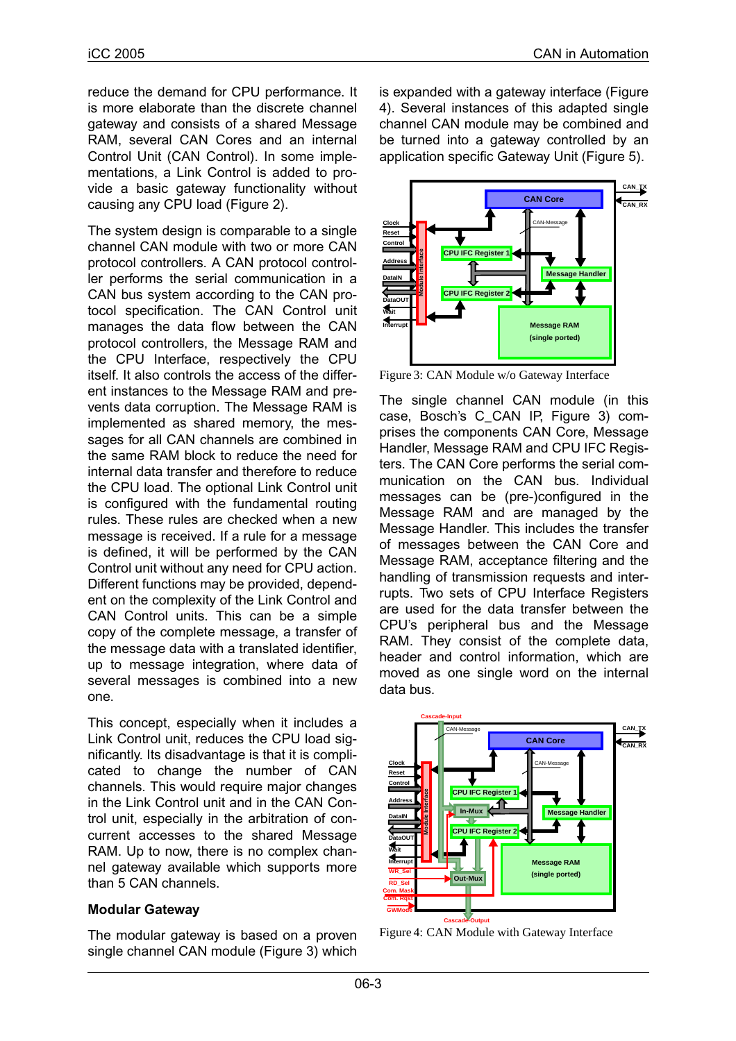reduce the demand for CPU performance. It is more elaborate than the discrete channel gateway and consists of a shared Message RAM, several CAN Cores and an internal Control Unit (CAN Control). In some implementations, a Link Control is added to provide a basic gateway functionality without causing any CPU load [\(Figure 2\)](#page-1-1).

The system design is comparable to a single channel CAN module with two or more CAN protocol controllers. A CAN protocol controller performs the serial communication in a CAN bus system according to the CAN protocol specification. The CAN Control unit manages the data flow between the CAN protocol controllers, the Message RAM and the CPU Interface, respectively the CPU itself. It also controls the access of the different instances to the Message RAM and prevents data corruption. The Message RAM is implemented as shared memory, the messages for all CAN channels are combined in the same RAM block to reduce the need for internal data transfer and therefore to reduce the CPU load. The optional Link Control unit is configured with the fundamental routing rules. These rules are checked when a new message is received. If a rule for a message is defined, it will be performed by the CAN Control unit without any need for CPU action. Different functions may be provided, dependent on the complexity of the Link Control and CAN Control units. This can be a simple copy of the complete message, a transfer of the message data with a translated identifier, up to message integration, where data of several messages is combined into a new one.

This concept, especially when it includes a Link Control unit, reduces the CPU load significantly. Its disadvantage is that it is complicated to change the number of CAN channels. This would require major changes in the Link Control unit and in the CAN Control unit, especially in the arbitration of concurrent accesses to the shared Message RAM. Up to now, there is no complex channel gateway available which supports more than 5 CAN channels.

#### **Modular Gateway**

The modular gateway is based on a proven single channel CAN module [\(Figure 3\)](#page-2-1) which

is expanded with a gateway interface [\(Figure](#page-2-0) [4\)](#page-2-0). Several instances of this adapted single channel CAN module may be combined and be turned into a gateway controlled by an application specific Gateway Unit [\(Figure 5](#page-3-0)).



<span id="page-2-1"></span>Figure 3: CAN Module w/o Gateway Interface

The single channel CAN module (in this case, Bosch's C\_CAN IP, [Figure 3\)](#page-2-1) comprises the components CAN Core, Message Handler, Message RAM and CPU IFC Registers. The CAN Core performs the serial communication on the CAN bus. Individual messages can be (pre-)configured in the Message RAM and are managed by the Message Handler. This includes the transfer of messages between the CAN Core and Message RAM, acceptance filtering and the handling of transmission requests and interrupts. Two sets of CPU Interface Registers are used for the data transfer between the CPU's peripheral bus and the Message RAM. They consist of the complete data, header and control information, which are moved as one single word on the internal data bus.



<span id="page-2-0"></span>Figure 4: CAN Module with Gateway Interface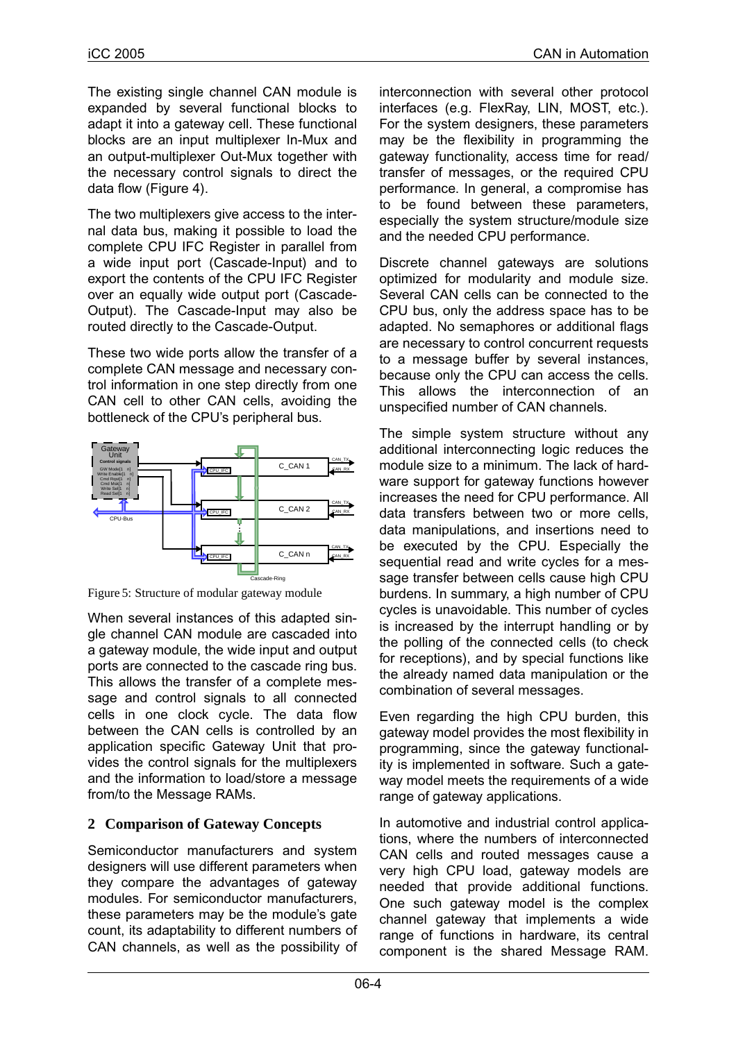The existing single channel CAN module is expanded by several functional blocks to adapt it into a gateway cell. These functional blocks are an input multiplexer In-Mux and an output-multiplexer Out-Mux together with the necessary control signals to direct the data flow [\(Figure 4\)](#page-2-0).

The two multiplexers give access to the internal data bus, making it possible to load the complete CPU IFC Register in parallel from a wide input port (Cascade-Input) and to export the contents of the CPU IFC Register over an equally wide output port (Cascade-Output). The Cascade-Input may also be routed directly to the Cascade-Output.

These two wide ports allow the transfer of a complete CAN message and necessary control information in one step directly from one CAN cell to other CAN cells, avoiding the bottleneck of the CPU's peripheral bus.



<span id="page-3-0"></span>Figure 5: Structure of modular gateway module

When several instances of this adapted single channel CAN module are cascaded into a gateway module, the wide input and output ports are connected to the cascade ring bus. This allows the transfer of a complete message and control signals to all connected cells in one clock cycle. The data flow between the CAN cells is controlled by an application specific Gateway Unit that provides the control signals for the multiplexers and the information to load/store a message from/to the Message RAMs.

## **2 Comparison of Gateway Concepts**

Semiconductor manufacturers and system designers will use different parameters when they compare the advantages of gateway modules. For semiconductor manufacturers, these parameters may be the module's gate count, its adaptability to different numbers of CAN channels, as well as the possibility of

interconnection with several other protocol interfaces (e.g. FlexRay, LIN, MOST, etc.). For the system designers, these parameters may be the flexibility in programming the gateway functionality, access time for read/ transfer of messages, or the required CPU performance. In general, a compromise has to be found between these parameters, especially the system structure/module size and the needed CPU performance.

Discrete channel gateways are solutions optimized for modularity and module size. Several CAN cells can be connected to the CPU bus, only the address space has to be adapted. No semaphores or additional flags are necessary to control concurrent requests to a message buffer by several instances, because only the CPU can access the cells. This allows the interconnection of an unspecified number of CAN channels.

The simple system structure without any additional interconnecting logic reduces the module size to a minimum. The lack of hardware support for gateway functions however increases the need for CPU performance. All data transfers between two or more cells, data manipulations, and insertions need to be executed by the CPU. Especially the sequential read and write cycles for a message transfer between cells cause high CPU burdens. In summary, a high number of CPU cycles is unavoidable. This number of cycles is increased by the interrupt handling or by the polling of the connected cells (to check for receptions), and by special functions like the already named data manipulation or the combination of several messages.

Even regarding the high CPU burden, this gateway model provides the most flexibility in programming, since the gateway functionality is implemented in software. Such a gateway model meets the requirements of a wide range of gateway applications.

In automotive and industrial control applications, where the numbers of interconnected CAN cells and routed messages cause a very high CPU load, gateway models are needed that provide additional functions. One such gateway model is the complex channel gateway that implements a wide range of functions in hardware, its central component is the shared Message RAM.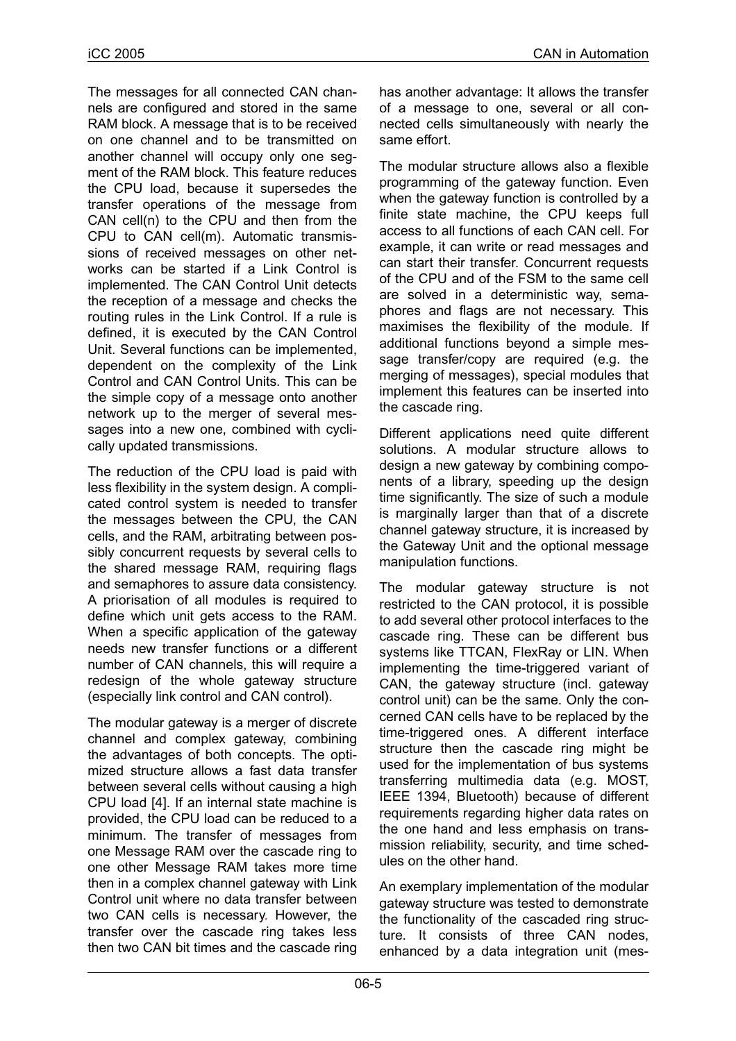The messages for all connected CAN channels are configured and stored in the same RAM block. A message that is to be received on one channel and to be transmitted on another channel will occupy only one segment of the RAM block. This feature reduces the CPU load, because it supersedes the transfer operations of the message from CAN cell(n) to the CPU and then from the CPU to CAN cell(m). Automatic transmissions of received messages on other networks can be started if a Link Control is implemented. The CAN Control Unit detects the reception of a message and checks the routing rules in the Link Control. If a rule is defined, it is executed by the CAN Control Unit. Several functions can be implemented, dependent on the complexity of the Link Control and CAN Control Units. This can be the simple copy of a message onto another network up to the merger of several messages into a new one, combined with cyclically updated transmissions.

The reduction of the CPU load is paid with less flexibility in the system design. A complicated control system is needed to transfer the messages between the CPU, the CAN cells, and the RAM, arbitrating between possibly concurrent requests by several cells to the shared message RAM, requiring flags and semaphores to assure data consistency. A priorisation of all modules is required to define which unit gets access to the RAM. When a specific application of the gateway needs new transfer functions or a different number of CAN channels, this will require a redesign of the whole gateway structure (especially link control and CAN control).

The modular gateway is a merger of discrete channel and complex gateway, combining the advantages of both concepts. The optimized structure allows a fast data transfer between several cells without causing a high CPU load [4]. If an internal state machine is provided, the CPU load can be reduced to a minimum. The transfer of messages from one Message RAM over the cascade ring to one other Message RAM takes more time then in a complex channel gateway with Link Control unit where no data transfer between two CAN cells is necessary. However, the transfer over the cascade ring takes less then two CAN bit times and the cascade ring

has another advantage: It allows the transfer of a message to one, several or all connected cells simultaneously with nearly the same effort.

The modular structure allows also a flexible programming of the gateway function. Even when the gateway function is controlled by a finite state machine, the CPU keeps full access to all functions of each CAN cell. For example, it can write or read messages and can start their transfer. Concurrent requests of the CPU and of the FSM to the same cell are solved in a deterministic way, semaphores and flags are not necessary. This maximises the flexibility of the module. If additional functions beyond a simple message transfer/copy are required (e.g. the merging of messages), special modules that implement this features can be inserted into the cascade ring.

Different applications need quite different solutions. A modular structure allows to design a new gateway by combining components of a library, speeding up the design time significantly. The size of such a module is marginally larger than that of a discrete channel gateway structure, it is increased by the Gateway Unit and the optional message manipulation functions.

The modular gateway structure is not restricted to the CAN protocol, it is possible to add several other protocol interfaces to the cascade ring. These can be different bus systems like TTCAN, FlexRay or LIN. When implementing the time-triggered variant of CAN, the gateway structure (incl. gateway control unit) can be the same. Only the concerned CAN cells have to be replaced by the time-triggered ones. A different interface structure then the cascade ring might be used for the implementation of bus systems transferring multimedia data (e.g. MOST, IEEE 1394, Bluetooth) because of different requirements regarding higher data rates on the one hand and less emphasis on transmission reliability, security, and time schedules on the other hand.

An exemplary implementation of the modular gateway structure was tested to demonstrate the functionality of the cascaded ring structure. It consists of three CAN nodes, enhanced by a data integration unit (mes-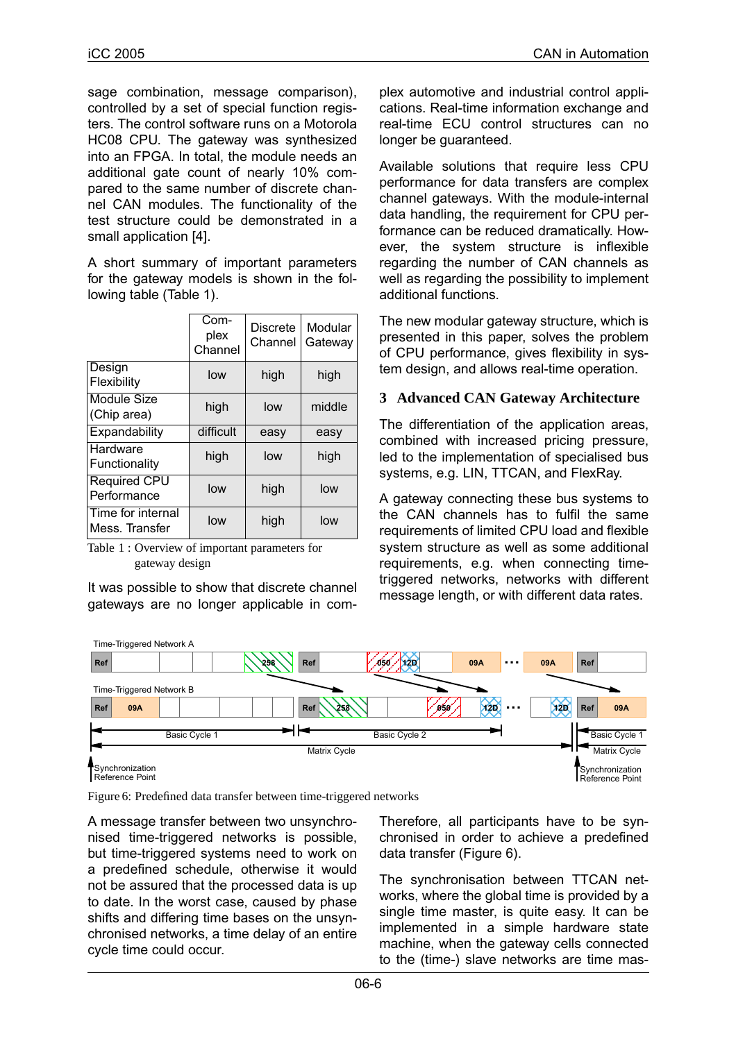sage combination, message comparison), controlled by a set of special function registers. The control software runs on a Motorola HC08 CPU. The gateway was synthesized into an FPGA. In total, the module needs an additional gate count of nearly 10% compared to the same number of discrete channel CAN modules. The functionality of the test structure could be demonstrated in a small application [4].

A short summary of important parameters for the gateway models is shown in the following table [\(Table 1](#page-5-1)).

|                                     | Com-<br>plex<br>Channel | <b>Discrete</b><br>Channel | Modular<br>Gateway |
|-------------------------------------|-------------------------|----------------------------|--------------------|
| Design<br>Flexibility               | low                     | high                       | high               |
| Module Size<br>(Chip area)          | high                    | low                        | middle             |
| Expandability                       | difficult               | easy                       | easy               |
| Hardware<br>Functionality           | high                    | low                        | high               |
| Required CPU<br>Performance         | low                     | high                       | low                |
| Time for internal<br>Mess. Transfer | low                     | high                       | low                |

<span id="page-5-1"></span>Table 1 : Overview of important parameters for gateway design

It was possible to show that discrete channel gateways are no longer applicable in com-

plex automotive and industrial control applications. Real-time information exchange and real-time ECU control structures can no longer be guaranteed.

Available solutions that require less CPU performance for data transfers are complex channel gateways. With the module-internal data handling, the requirement for CPU performance can be reduced dramatically. However, the system structure is inflexible regarding the number of CAN channels as well as regarding the possibility to implement additional functions.

The new modular gateway structure, which is presented in this paper, solves the problem of CPU performance, gives flexibility in system design, and allows real-time operation.

#### **3 Advanced CAN Gateway Architecture**

The differentiation of the application areas, combined with increased pricing pressure, led to the implementation of specialised bus systems, e.g. LIN, TTCAN, and FlexRay.

A gateway connecting these bus systems to the CAN channels has to fulfil the same requirements of limited CPU load and flexible system structure as well as some additional requirements, e.g. when connecting timetriggered networks, networks with different message length, or with different data rates.



<span id="page-5-0"></span>Figure 6: Predefined data transfer between time-triggered networks

A message transfer between two unsynchronised time-triggered networks is possible, but time-triggered systems need to work on a predefined schedule, otherwise it would not be assured that the processed data is up to date. In the worst case, caused by phase shifts and differing time bases on the unsynchronised networks, a time delay of an entire cycle time could occur.

Therefore, all participants have to be synchronised in order to achieve a predefined data transfer ([Figure 6](#page-5-0)).

The synchronisation between TTCAN networks, where the global time is provided by a single time master, is quite easy. It can be implemented in a simple hardware state machine, when the gateway cells connected to the (time-) slave networks are time mas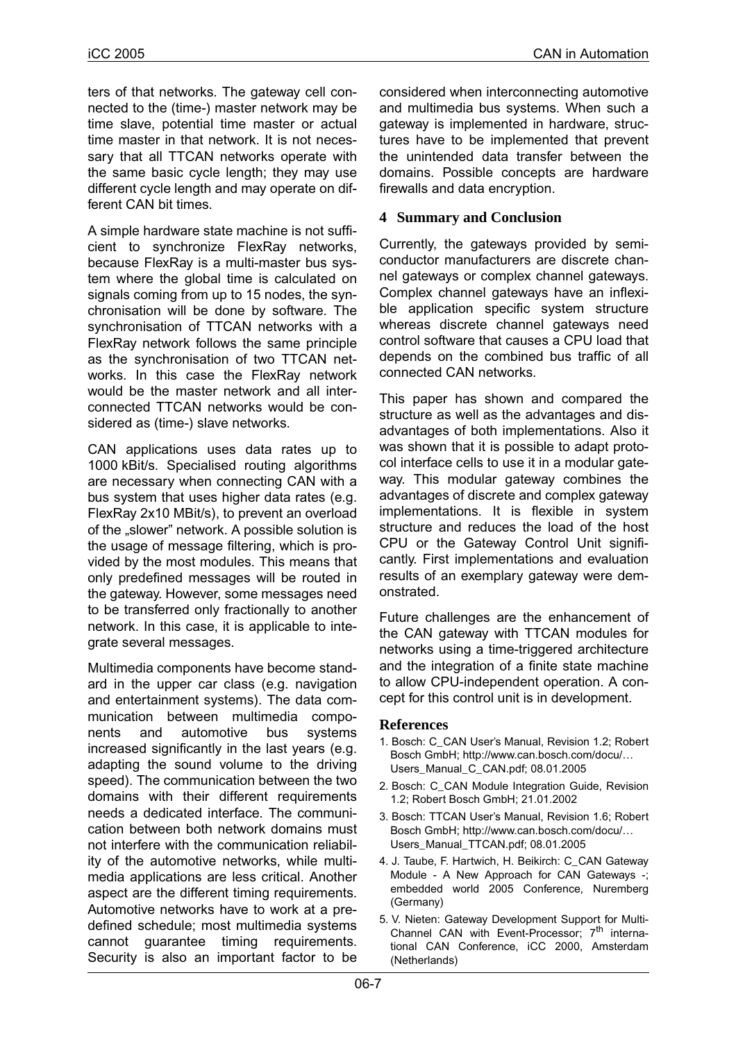ters of that networks. The gateway cell connected to the (time-) master network may be time slave, potential time master or actual time master in that network. It is not necessary that all TTCAN networks operate with the same basic cycle length; they may use different cycle length and may operate on different CAN bit times.

A simple hardware state machine is not sufficient to synchronize FlexRay networks, because FlexRay is a multi-master bus system where the global time is calculated on signals coming from up to 15 nodes, the synchronisation will be done by software. The synchronisation of TTCAN networks with a FlexRay network follows the same principle as the synchronisation of two TTCAN networks. In this case the FlexRay network would be the master network and all interconnected TTCAN networks would be considered as (time-) slave networks.

CAN applications uses data rates up to 1000 kBit/s. Specialised routing algorithms are necessary when connecting CAN with a bus system that uses higher data rates (e.g. FlexRay 2x10 MBit/s), to prevent an overload of the "slower" network. A possible solution is the usage of message filtering, which is provided by the most modules. This means that only predefined messages will be routed in the gateway. However, some messages need to be transferred only fractionally to another network. In this case, it is applicable to integrate several messages.

Multimedia components have become standard in the upper car class (e.g. navigation and entertainment systems). The data communication between multimedia components and automotive bus systems increased significantly in the last years (e.g. adapting the sound volume to the driving speed). The communication between the two domains with their different requirements needs a dedicated interface. The communication between both network domains must not interfere with the communication reliability of the automotive networks, while multimedia applications are less critical. Another aspect are the different timing requirements. Automotive networks have to work at a predefined schedule; most multimedia systems cannot guarantee timing requirements. Security is also an important factor to be

considered when interconnecting automotive and multimedia bus systems. When such a gateway is implemented in hardware, structures have to be implemented that prevent the unintended data transfer between the domains. Possible concepts are hardware firewalls and data encryption.

### **4 Summary and Conclusion**

Currently, the gateways provided by semiconductor manufacturers are discrete channel gateways or complex channel gateways. Complex channel gateways have an inflexible application specific system structure whereas discrete channel gateways need control software that causes a CPU load that depends on the combined bus traffic of all connected CAN networks.

This paper has shown and compared the structure as well as the advantages and disadvantages of both implementations. Also it was shown that it is possible to adapt protocol interface cells to use it in a modular gateway. This modular gateway combines the advantages of discrete and complex gateway implementations. It is flexible in system structure and reduces the load of the host CPU or the Gateway Control Unit significantly. First implementations and evaluation results of an exemplary gateway were demonstrated.

Future challenges are the enhancement of the CAN gateway with TTCAN modules for networks using a time-triggered architecture and the integration of a finite state machine to allow CPU-independent operation. A concept for this control unit is in development.

#### **References**

- 1. Bosch: C\_CAN User's Manual, Revision 1.2; Robert Bosch GmbH; http://www.can.bosch.com/docu/… Users\_Manual\_C\_CAN.pdf; 08.01.2005
- 2. Bosch: C\_CAN Module Integration Guide, Revision 1.2; Robert Bosch GmbH; 21.01.2002
- 3. Bosch: TTCAN User's Manual, Revision 1.6; Robert Bosch GmbH; http://www.can.bosch.com/docu/… Users\_Manual\_TTCAN.pdf; 08.01.2005
- 4. J. Taube, F. Hartwich, H. Beikirch: C\_CAN Gateway Module - A New Approach for CAN Gateways -; embedded world 2005 Conference, Nuremberg (Germany)
- 5. V. Nieten: Gateway Development Support for Multi-Channel CAN with Event-Processor;  $7<sup>th</sup>$  international CAN Conference, iCC 2000, Amsterdam (Netherlands)